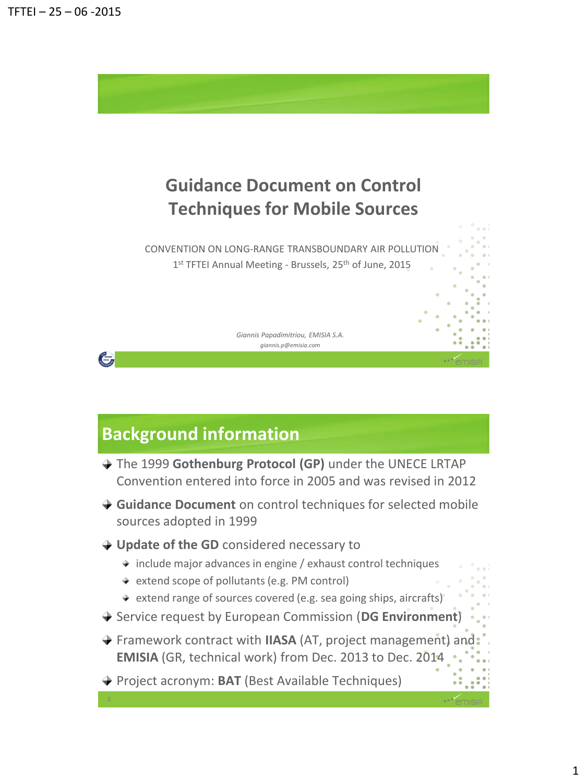

## **Background information**

- The 1999 **Gothenburg Protocol (GP)** under the UNECE LRTAP Convention entered into force in 2005 and was revised in 2012
- **Guidance Document** on control techniques for selected mobile sources adopted in 1999
- **→ Update of the GD** considered necessary to
	- $\rightarrow$  include major advances in engine / exhaust control techniques
	- ◆ extend scope of pollutants (e.g. PM control)
	- $\rightarrow$  extend range of sources covered (e.g. sea going ships, aircrafts)
- Service request by European Commission (**DG Environment**)
- Framework contract with **IIASA** (AT, project management) and **EMISIA** (GR, technical work) from Dec. 2013 to Dec. 2014
- **→ Project acronym: BAT (Best Available Techniques)**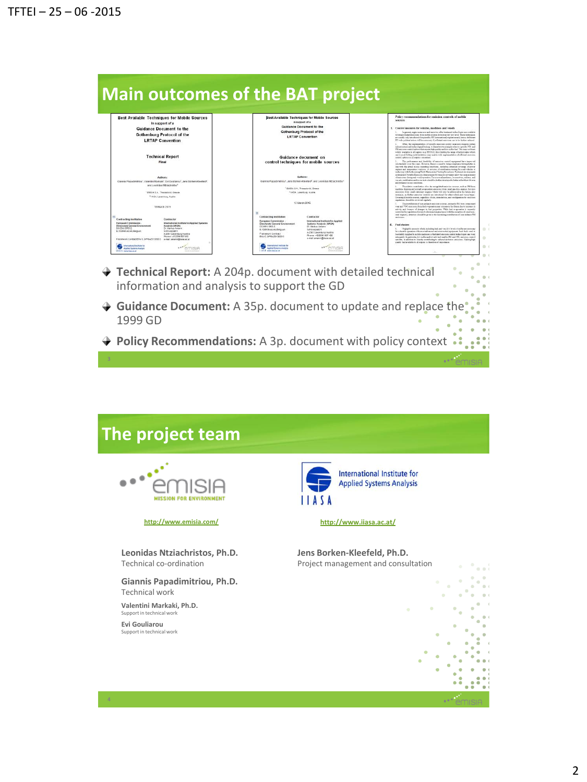

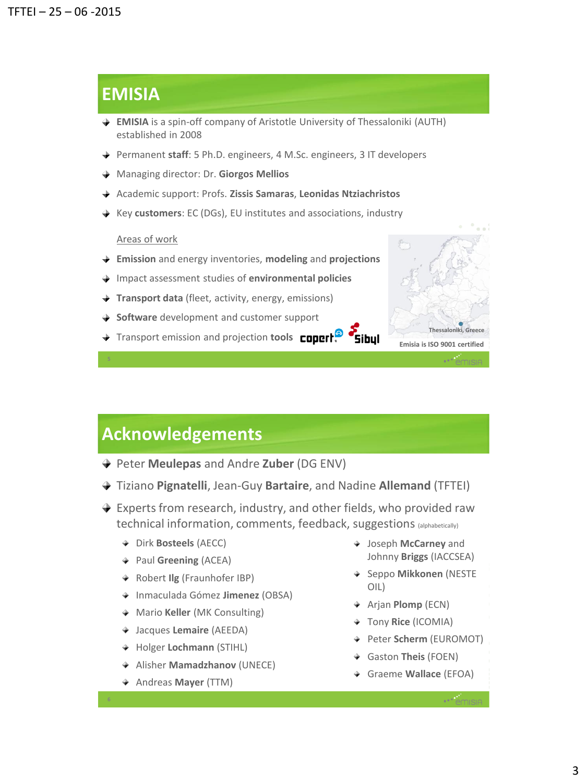### **EMISIA**

- **EMISIA** is a spin-off company of Aristotle University of Thessaloniki (AUTH) established in 2008
- **→** Permanent staff: 5 Ph.D. engineers, 4 M.Sc. engineers, 3 IT developers
- Managing director: Dr. **Giorgos Mellios**
- Academic support: Profs. **Zissis Samaras**, **Leonidas Ntziachristos**
- Key **customers**: EC (DGs), EU institutes and associations, industry

#### Areas of work

- **Emission** and energy inventories, **modeling** and **projections**
- Impact assessment studies of **environmental policies**
- **Transport data** (fleet, activity, energy, emissions)
- **→ Software** development and customer support
- Transport emission and projection **tools Congrige Sibul**



### **Acknowledgements**

- Peter **Meulepas** and Andre **Zuber** (DG ENV)
- Tiziano **Pignatelli**, Jean-Guy **Bartaire**, and Nadine **Allemand** (TFTEI)
- ◆ Experts from research, industry, and other fields, who provided raw technical information, comments, feedback, suggestions (alphabetically)
	- Dirk **Bosteels** (AECC)
	- Paul **Greening** (ACEA)
	- Robert **Ilg** (Fraunhofer IBP)
	- Inmaculada Gómez **Jimenez** (OBSA)
	- Mario **Keller** (MK Consulting)
	- Jacques **Lemaire** (AEEDA)
	- Holger **Lochmann** (STIHL)
	- Alisher **Mamadzhanov** (UNECE)
	- Andreas **Mayer** (TTM)
- Joseph **McCarney** and Johnny **Briggs** (IACCSEA)
- Seppo **Mikkonen** (NESTE OIL)
- Arjan **Plomp** (ECN)
- Tony **Rice** (ICOMIA)
- Peter **Scherm** (EUROMOT)
- Gaston **Theis** (FOEN)
- Graeme **Wallace** (EFOA)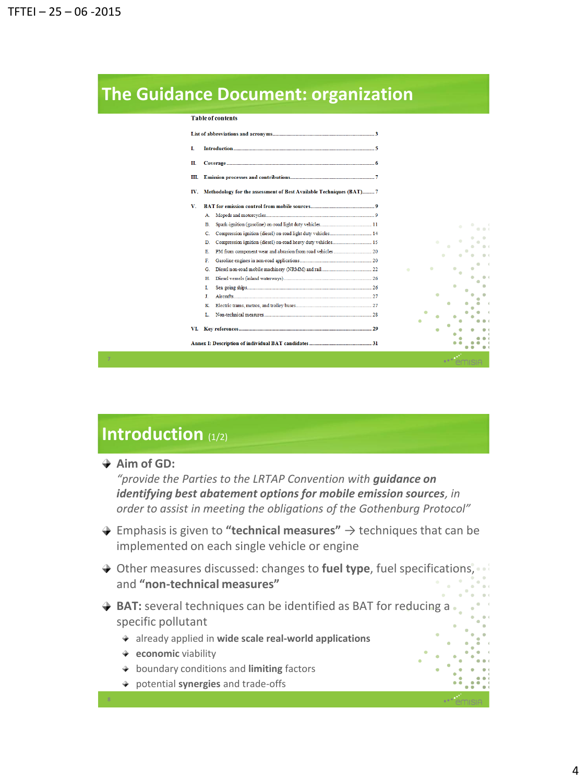### **The Guidance Document: organization**

|  |  |  | <b>Table of contents</b> |  |  |  |
|--|--|--|--------------------------|--|--|--|
|  |  |  |                          |  |  |  |

| L   |                                                                     |                     |
|-----|---------------------------------------------------------------------|---------------------|
| П.  |                                                                     |                     |
| Ш.  |                                                                     |                     |
| IV. | Methodology for the assessment of Best Available Techniques (BAT) 7 |                     |
| v.  |                                                                     |                     |
|     | А.                                                                  |                     |
|     | B                                                                   |                     |
|     | Compression ignition (diesel) on-road light duty vehicles 14<br>C   |                     |
|     | D.                                                                  |                     |
|     | E.                                                                  |                     |
|     | F                                                                   |                     |
|     | G                                                                   | ۰<br>$\blacksquare$ |
|     | H                                                                   |                     |
|     | T                                                                   |                     |
|     | J.                                                                  |                     |
|     | к                                                                   |                     |
|     | L.                                                                  |                     |
|     |                                                                     |                     |
| VI. |                                                                     |                     |
|     |                                                                     |                     |
|     |                                                                     |                     |

## **Introduction** (1/2)

**Aim of GD:**

*"provide the Parties to the LRTAP Convention with guidance on identifying best abatement options for mobile emission sources, in order to assist in meeting the obligations of the Gothenburg Protocol"*

- Emphasis is given to **"technical measures"** → techniques that can be implemented on each single vehicle or engine
- **→** Other measures discussed: changes to fuel type, fuel specifications, and **"non-technical measures"**
- $\rightarrow$  **BAT:** several techniques can be identified as BAT for reducing a specific pollutant
	- already applied in **wide scale real-world applications**
	- **economic** viability
	- boundary conditions and **limiting** factors
	- potential **synergies** and trade-offs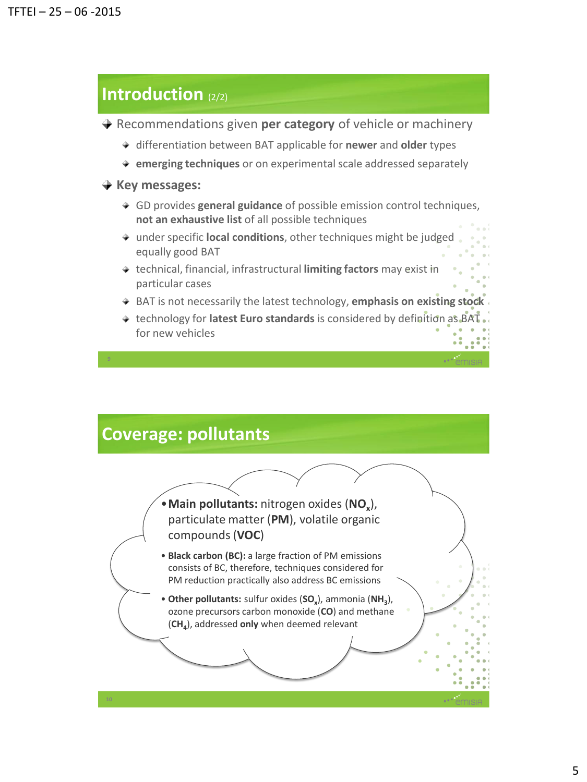### **Introduction** (2/2)

- **→** Recommendations given **per category** of vehicle or machinery
	- differentiation between BAT applicable for **newer** and **older** types
	- **emerging techniques** or on experimental scale addressed separately
- **★ Key messages:** 
	- GD provides **general guidance** of possible emission control techniques, **not an exhaustive list** of all possible techniques
	- under specific **local conditions**, other techniques might be judged equally good BAT
	- technical, financial, infrastructural **limiting factors** may exist in particular cases
	- BAT is not necessarily the latest technology, **emphasis on existing stock**
	- technology for **latest Euro standards** is considered by definition as BAT for new vehicles

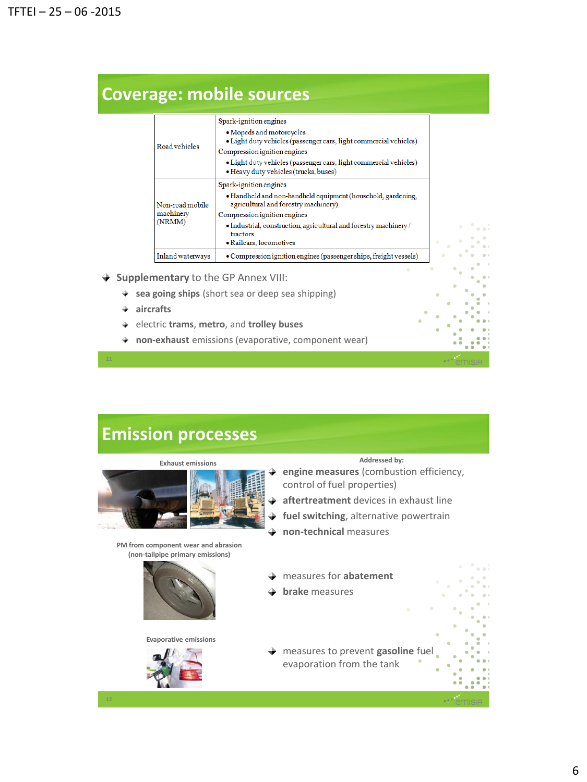| Road vehicles                          | Spark-ignition engines                                                                                     |
|----------------------------------------|------------------------------------------------------------------------------------------------------------|
|                                        | • Mopeds and motorcycles<br>· Light duty vehicles (passenger cars, light commercial vehicles)              |
|                                        | Compression ignition engines                                                                               |
|                                        | • Light duty vehicles (passenger cars, light commercial vehicles)<br>• Heavy duty vehicles (trucks, buses) |
| Non-road mobile<br>machinery<br>(NRMM) | Spark-ignition engines                                                                                     |
|                                        | • Handheld and non-handheld equipment (household, gardening,<br>agricultural and forestry machinery)       |
|                                        | Compression ignition engines                                                                               |
|                                        | • Industrial, construction, agricultural and forestry machinery /<br>tractors                              |
|                                        | • Railcars, locomotives                                                                                    |
| Inland waterways                       | • Compression ignition engines (passenger ships, freight vessels)                                          |

- **Supplementary** to the GP Annex VIII:
	- **sea going ships** (short sea or deep sea shipping)
	- **aircrafts**
	- electric **trams**, **metro**, and **trolley buses**
	- **non-exhaust** emissions (evaporative, component wear)

### **Emission processes**



#### **PM from component wear and abrasion (non-tailpipe primary emissions)**



**Evaporative emissions**



#### **Exhaust emissions Addressed by:**

- **engine measures** (combustion efficiency, control of fuel properties)
- **aftertreatment** devices in exhaust line ÷
- **fuel switching**, alternative powertrain ÷
- **non-technical** measures
- measures for **abatement**
- **brake** measures
- measures to prevent **gasoline** fuel evaporation from the tank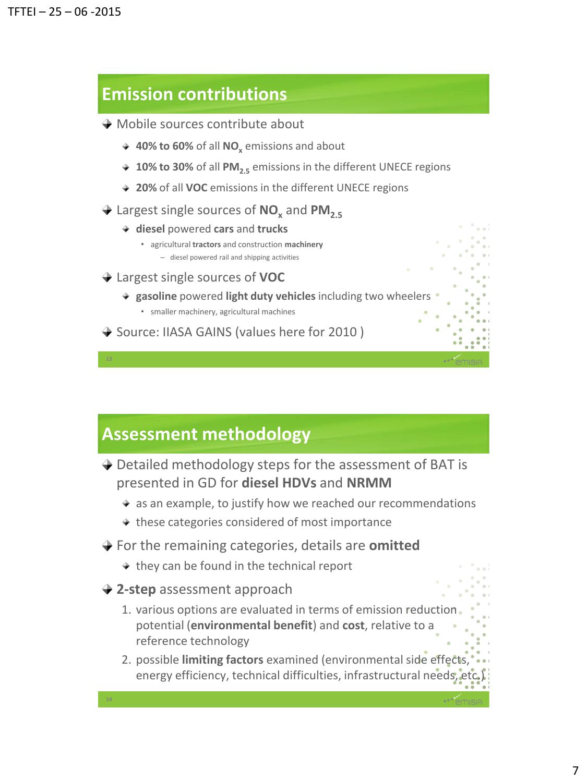### **Emission contributions**

- **→ Mobile sources contribute about** 
	- **→ 40% to 60%** of all **NO**<sub>x</sub> emissions and about
	- ◆ 10% to 30% of all PM<sub>2.5</sub> emissions in the different UNECE regions
	- **20%** of all **VOC** emissions in the different UNECE regions
- Largest single sources of **NO<sup>x</sup>** and **PM2.5**
	- **diesel** powered **cars** and **trucks**
		- agricultural **tractors** and construction **machinery** – diesel powered rail and shipping activities
- Largest single sources of **VOC**

**gasoline** powered **light duty vehicles** including two wheelers

• smaller machinery, agricultural machines

◆ Source: IIASA GAINS (values here for 2010)

### **Assessment methodology**

- **→** Detailed methodology steps for the assessment of BAT is presented in GD for **diesel HDVs** and **NRMM**
	- $\rightarrow$  as an example, to justify how we reached our recommendations
	- $\rightarrow$  these categories considered of most importance
- For the remaining categories, details are **omitted**
	- $\rightarrow$  they can be found in the technical report
- **2-step** assessment approach

- 1. various options are evaluated in terms of emission reduction potential (**environmental benefit**) and **cost**, relative to a reference technology
- 2. possible **limiting factors** examined (environmental side effects, energy efficiency, technical difficulties, infrastructural needs, etc.)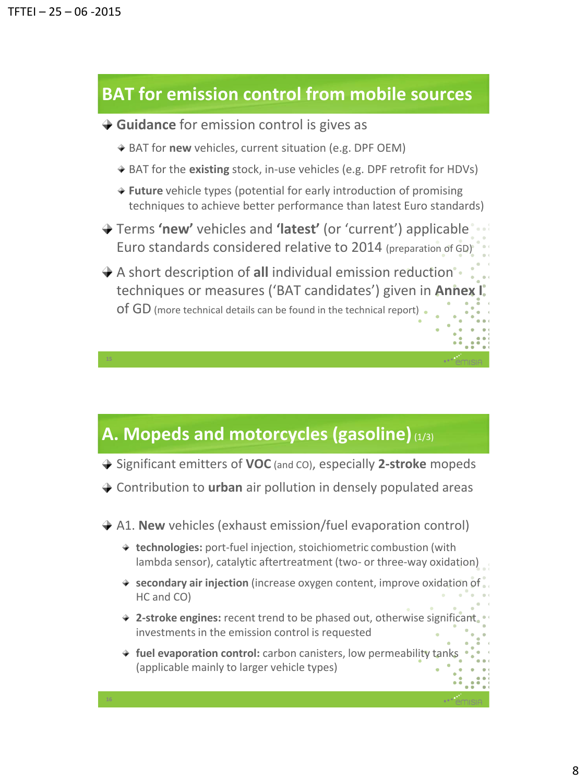**16**

### **BAT for emission control from mobile sources**

- **→ Guidance** for emission control is gives as
	- **→ BAT for new** vehicles, current situation (e.g. DPF OEM)
	- ◆ BAT for the **existing** stock, in-use vehicles (e.g. DPF retrofit for HDVs)
	- **Future** vehicle types (potential for early introduction of promising techniques to achieve better performance than latest Euro standards)
- Terms **'new'** vehicles and **'latest'** (or 'current') applicable Euro standards considered relative to 2014 (preparation of GD)
- A short description of **all** individual emission reduction techniques or measures ('BAT candidates') given in **Annex I** of GD (more technical details can be found in the technical report)

### **A. Mopeds and motorcycles (gasoline)**(1/3)

- Significant emitters of **VOC** (and CO), especially **2-stroke** mopeds
- Contribution to **urban** air pollution in densely populated areas
- **→ A1. New** vehicles (exhaust emission/fuel evaporation control)
	- **technologies:** port-fuel injection, stoichiometric combustion (with lambda sensor), catalytic aftertreatment (two- or three-way oxidation)
	- **secondary air injection** (increase oxygen content, improve oxidation of HC and CO)
	- **2-stroke engines:** recent trend to be phased out, otherwise significant investments in the emission control is requested
	- **→ fuel evaporation control:** carbon canisters, low permeability tank (applicable mainly to larger vehicle types)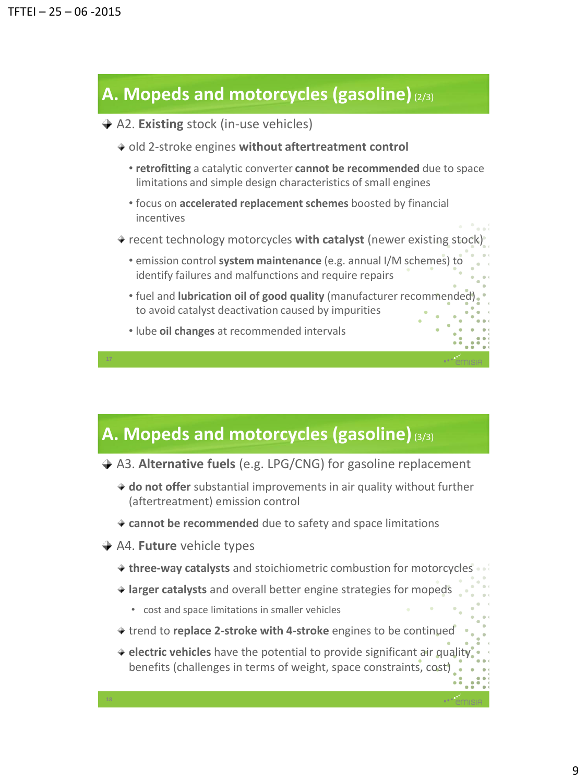## **A. Mopeds and motorcycles (gasoline)**(2/3)

- A2. **Existing** stock (in-use vehicles)
	- old 2-stroke engines **without aftertreatment control**
		- **retrofitting** a catalytic converter **cannot be recommended** due to space limitations and simple design characteristics of small engines
		- focus on **accelerated replacement schemes** boosted by financial incentives
	- recent technology motorcycles **with catalyst** (newer existing stock)
		- emission control **system maintenance** (e.g. annual I/M schemes) to identify failures and malfunctions and require repairs
		- fuel and **lubrication oil of good quality** (manufacturer recommended) to avoid catalyst deactivation caused by impurities
		- lube **oil changes** at recommended intervals

### **A. Mopeds and motorcycles (gasoline)**(3/3)

- A3. **Alternative fuels** (e.g. LPG/CNG) for gasoline replacement
	- **do not offer** substantial improvements in air quality without further (aftertreatment) emission control
	- **cannot be recommended** due to safety and space limitations
- **→ A4. Future** vehicle types

- **three-way catalysts** and stoichiometric combustion for motorcycles
- **larger catalysts** and overall better engine strategies for mopeds
	- cost and space limitations in smaller vehicles
- trend to **replace 2-stroke with 4-stroke** engines to be continued
- **electric vehicles** have the potential to provide significant air quality benefits (challenges in terms of weight, space constraints, cost)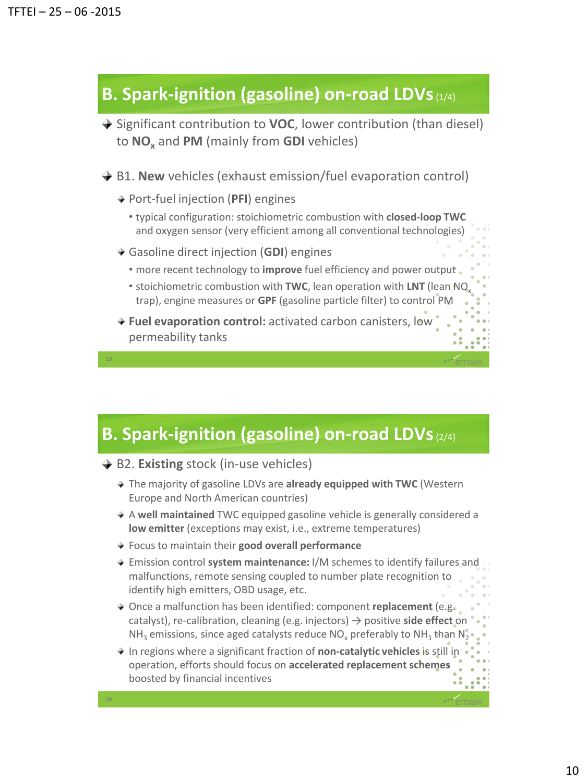### **B. Spark-ignition (gasoline) on-road LDVs**(1/4)

- **→** Significant contribution to **VOC**, lower contribution (than diesel) to **NO<sup>x</sup>** and **PM** (mainly from **GDI** vehicles)
- **→ B1. New** vehicles (exhaust emission/fuel evaporation control)
	- Port-fuel injection (**PFI**) engines
		- typical configuration: stoichiometric combustion with **closed-loop TWC**  and oxygen sensor (very efficient among all conventional technologies)
	- Gasoline direct injection (**GDI**) engines
		- more recent technology to **improve** fuel efficiency and power output
		- stoichiometric combustion with **TWC**, lean operation with LNT (lean NO trap), engine measures or **GPF** (gasoline particle filter) to control PM
	- **Fuel evaporation control:** activated carbon canisters, low permeability tanks

### **B. Spark-ignition (gasoline) on-road LDVs**(2/4)

- $→$  **B2. Existing** stock (in-use vehicles)
	- The majority of gasoline LDVs are **already equipped with TWC** (Western Europe and North American countries)
	- A **well maintained** TWC equipped gasoline vehicle is generally considered a **low emitter** (exceptions may exist, i.e., extreme temperatures)
	- Focus to maintain their **good overall performance**
	- Emission control **system maintenance:** I/M schemes to identify failures and malfunctions, remote sensing coupled to number plate recognition to identify high emitters, OBD usage, etc.
	- Once a malfunction has been identified: component **replacement** (e.g. catalyst), re-calibration, cleaning (e.g. injectors) → positive **side effect** on NH<sub>3</sub> emissions, since aged catalysts reduce NO<sub>x</sub> preferably to NH<sub>3</sub> than N<sub>2</sub>
	- In regions where a significant fraction of **non-catalytic vehicles** is still in operation, efforts should focus on **accelerated replacement schemes**  boosted by financial incentives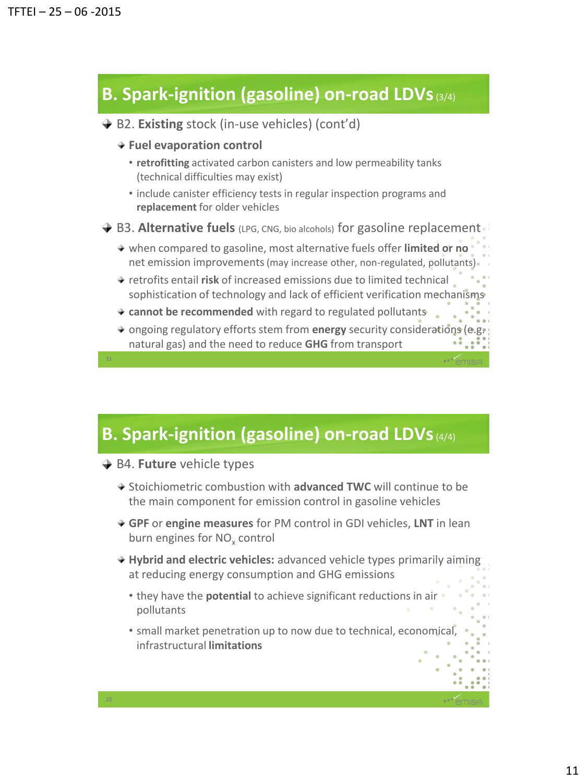## **B. Spark-ignition (gasoline) on-road LDVs**(3/4)

- **→ B2. Existing** stock (in-use vehicles) (cont'd)
	- **Fuel evaporation control**
		- **retrofitting** activated carbon canisters and low permeability tanks (technical difficulties may exist)
		- include canister efficiency tests in regular inspection programs and **replacement** for older vehicles
- **→ B3. Alternative fuels** (LPG, CNG, bio alcohols) for gasoline replacement
	- when compared to gasoline, most alternative fuels offer **limited or no**  net emission improvements (may increase other, non-regulated, pollutants).
	- retrofits entail **risk** of increased emissions due to limited technical sophistication of technology and lack of efficient verification mechanisms
	- **cannot be recommended** with regard to regulated pollutants
	- ongoing regulatory efforts stem from **energy** security considerations (e.g. natural gas) and the need to reduce **GHG** from transport

# **B. Spark-ignition (gasoline) on-road LDVs** (4/4)

- $\rightarrow$  **B4. Future** vehicle types
	- **→ Stoichiometric combustion with advanced TWC will continue to be** the main component for emission control in gasoline vehicles
	- **GPF** or **engine measures** for PM control in GDI vehicles, **LNT** in lean burn engines for NO<sub>x</sub> control
	- **Hybrid and electric vehicles:** advanced vehicle types primarily aiming at reducing energy consumption and GHG emissions
		- they have the **potential** to achieve significant reductions in air pollutants
		- small market penetration up to now due to technical, economical, infrastructural **limitations**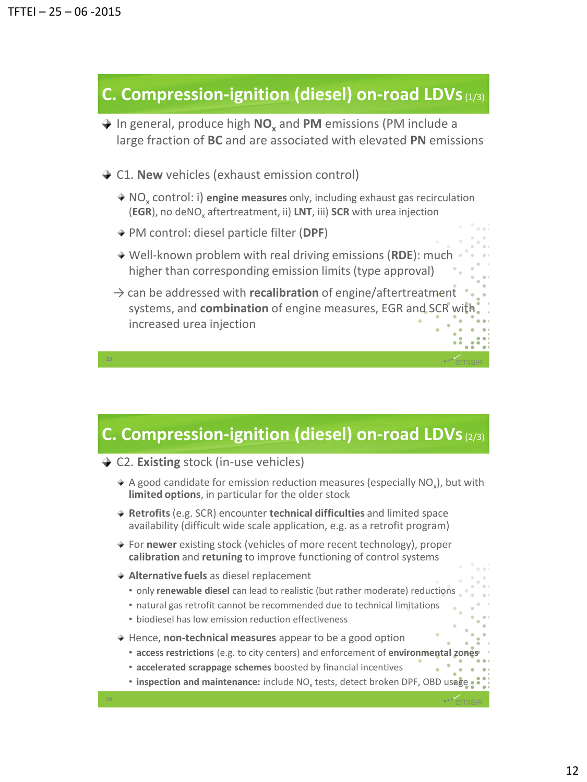### **C. Compression-ignition (diesel) on-road LDVs**(1/3)

In general, produce high **NO<sup>x</sup>** and **PM** emissions (PM include a large fraction of **BC** and are associated with elevated **PN** emissions

- **← C1. New** vehicles (exhaust emission control)
	- NO<sub>x</sub> control: i) engine measures only, including exhaust gas recirculation (EGR), no deNO<sub>x</sub> aftertreatment, ii) LNT, iii) SCR with urea injection
	- PM control: diesel particle filter (**DPF**)
	- Well-known problem with real driving emissions (**RDE**): much higher than corresponding emission limits (type approval)
	- → can be addressed with **recalibration** of engine/aftertreatment systems, and **combination** of engine measures, EGR and SCR with increased urea injection

### **C. Compression-ignition (diesel) on-road LDVs**(2/3)

- **← C2. Existing** stock (in-use vehicles)
	- A good candidate for emission reduction measures (especially NO<sub>x</sub>), but with **limited options**, in particular for the older stock
	- **Retrofits**(e.g. SCR) encounter **technical difficulties** and limited space availability (difficult wide scale application, e.g. as a retrofit program)
	- ◆ For **newer** existing stock (vehicles of more recent technology), proper **calibration** and **retuning** to improve functioning of control systems
	- **Alternative fuels** as diesel replacement

- only **renewable diesel** can lead to realistic (but rather moderate) reductions
- natural gas retrofit cannot be recommended due to technical limitations
- biodiesel has low emission reduction effectiveness
- **★ Hence, non-technical measures** appear to be a good option
	- **access restrictions** (e.g. to city centers) and enforcement of **environmental zones**
	- **accelerated scrappage schemes** boosted by financial incentives
	- **inspection and maintenance:** include NO<sub>x</sub> tests, detect broken DPF, OBD usage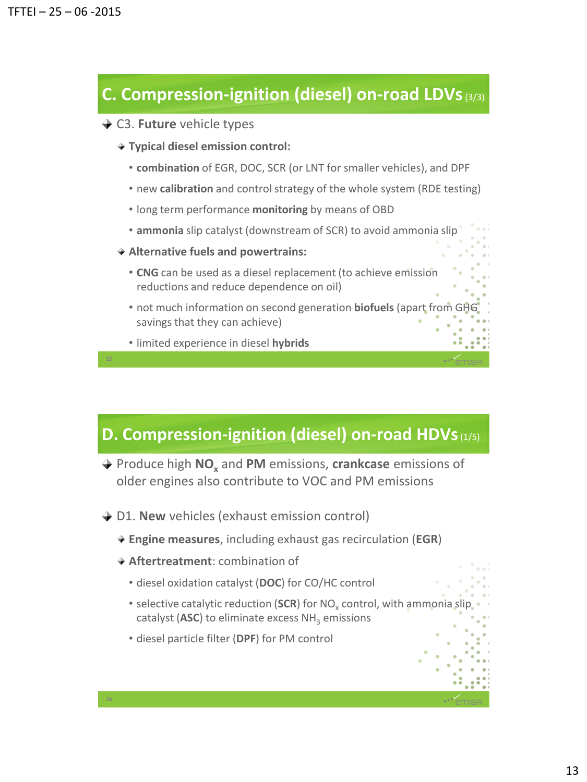### **C. Compression-ignition (diesel) on-road LDVs**(3/3)

- **→ C3. Future** vehicle types
	- **Typical diesel emission control:**
		- **combination** of EGR, DOC, SCR (or LNT for smaller vehicles), and DPF
		- new **calibration** and control strategy of the whole system (RDE testing)
		- long term performance **monitoring** by means of OBD
		- **ammonia** slip catalyst (downstream of SCR) to avoid ammonia slip
	- **Alternative fuels and powertrains:**
		- **CNG** can be used as a diesel replacement (to achieve emission reductions and reduce dependence on oil)
		- not much information on second generation **biofuels** (apart from GHG savings that they can achieve)
		- limited experience in diesel **hybrids**

### **D. Compression-ignition (diesel) on-road HDVs**(1/5)

- Produce high **NO<sup>x</sup>** and **PM** emissions, **crankcase** emissions of older engines also contribute to VOC and PM emissions
- **→ D1. New** vehicles (exhaust emission control)
	- **Engine measures**, including exhaust gas recirculation (**EGR**)
	- **Aftertreatment**: combination of

- diesel oxidation catalyst (**DOC**) for CO/HC control
- selective catalytic reduction (SCR) for NO<sub>x</sub> control, with ammonia slip catalyst (ASC) to eliminate excess NH<sub>3</sub> emissions
- diesel particle filter (**DPF**) for PM control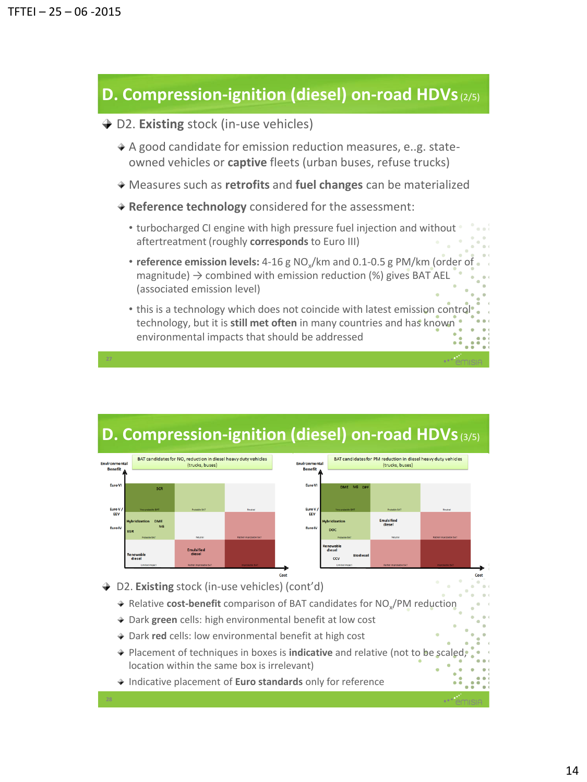### **D. Compression-ignition (diesel) on-road HDVs**(2/5)

### **→ D2. Existing** stock (in-use vehicles)

- $\triangle$  A good candidate for emission reduction measures, e..g. stateowned vehicles or **captive** fleets (urban buses, refuse trucks)
- Measures such as **retrofits** and **fuel changes** can be materialized
- **Reference technology** considered for the assessment:
	- turbocharged CI engine with high pressure fuel injection and without aftertreatment (roughly **corresponds** to Euro III)
	- **reference emission levels:** 4-16 g NO<sub>x</sub>/km and 0.1-0.5 g PM/km (order of magnitude)  $\rightarrow$  combined with emission reduction (%) gives BAT AEL (associated emission level)
	- this is a technology which does not coincide with latest emission control technology, but it is **still met often** in many countries and has known environmental impacts that should be addressed



### **D. Compression-ignition (diesel) on-road HDVs**(3/5)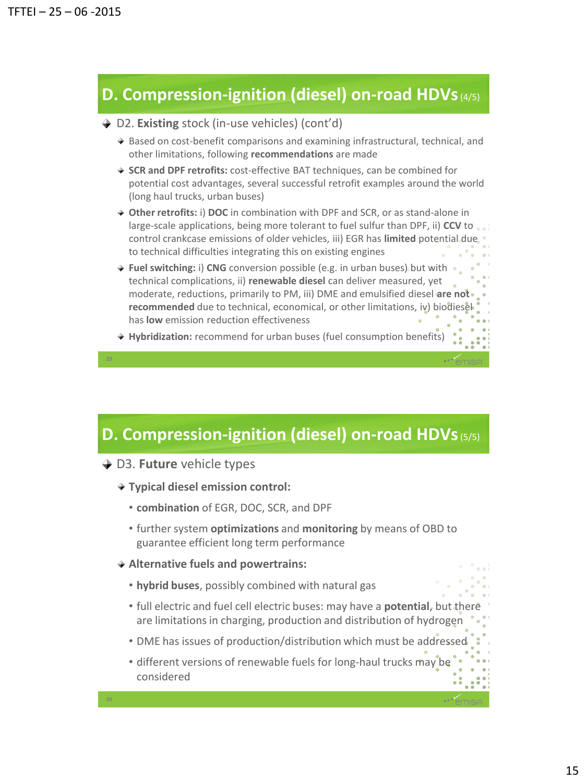### **D. Compression-ignition (diesel) on-road HDVs**(4/5)

### D2. **Existing** stock (in-use vehicles) (cont'd)

- $\rightarrow$  Based on cost-benefit comparisons and examining infrastructural, technical, and other limitations, following **recommendations** are made
- **SCR and DPF retrofits:** cost-effective BAT techniques, can be combined for potential cost advantages, several successful retrofit examples around the world (long haul trucks, urban buses)
- **Other retrofits:** i) **DOC** in combination with DPF and SCR, or as stand-alone in large-scale applications, being more tolerant to fuel sulfur than DPF, ii) **CCV** to control crankcase emissions of older vehicles, iii) EGR has **limited** potential due to technical difficulties integrating this on existing engines
- **Fuel switching:** i) **CNG** conversion possible (e.g. in urban buses) but with technical complications, ii) **renewable diesel** can deliver measured, yet moderate, reductions, primarily to PM, iii) DME and emulsified diesel **are not recommended** due to technical, economical, or other limitations, iv) biodiesel has **low** emission reduction effectiveness
- **Hybridization:** recommend for urban buses (fuel consumption benefits)

### **D. Compression-ignition (diesel) on-road HDVs**(5/5)

- **→ D3. Future** vehicle types
	- **Typical diesel emission control:**
		- **combination** of EGR, DOC, SCR, and DPF
		- further system **optimizations** and **monitoring** by means of OBD to guarantee efficient long term performance
	- **Alternative fuels and powertrains:**
		- **hybrid buses**, possibly combined with natural gas
		- full electric and fuel cell electric buses: may have a **potential**, but there are limitations in charging, production and distribution of hydrogen
		- DME has issues of production/distribution which must be addressed
		- different versions of renewable fuels for long-haul trucks may be considered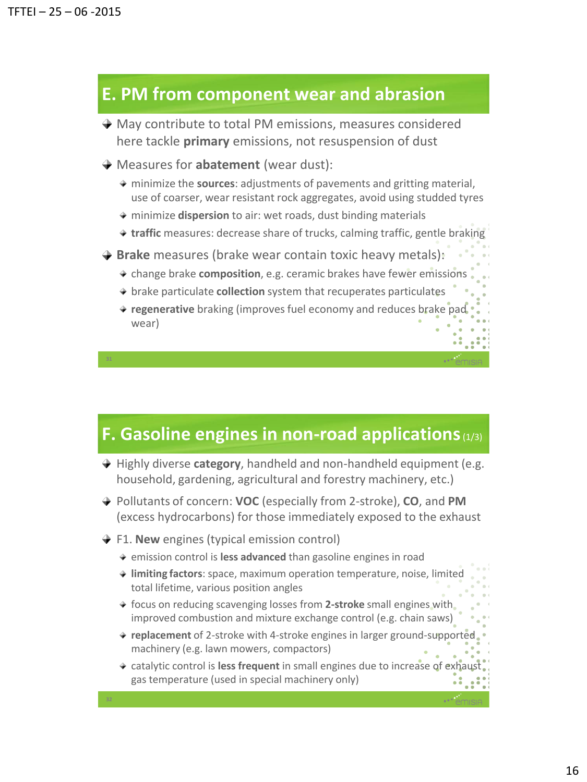### **E. PM from component wear and abrasion**

- ◆ May contribute to total PM emissions, measures considered here tackle **primary** emissions, not resuspension of dust
- Measures for **abatement** (wear dust):
	- minimize the **sources**: adjustments of pavements and gritting material, use of coarser, wear resistant rock aggregates, avoid using studded tyres
	- minimize **dispersion** to air: wet roads, dust binding materials
	- **traffic** measures: decrease share of trucks, calming traffic, gentle braking
- **Brake** measures (brake wear contain toxic heavy metals):
	- change brake **composition**, e.g. ceramic brakes have fewer emissions
	- brake particulate **collection** system that recuperates particulates
	- **regenerative** braking (improves fuel economy and reduces brake pad wear)

### **F. Gasoline engines in non-road applications**(1/3)

- $\rightarrow$  Highly diverse **category**, handheld and non-handheld equipment (e.g. household, gardening, agricultural and forestry machinery, etc.)
- Pollutants of concern: **VOC** (especially from 2-stroke), **CO**, and **PM** (excess hydrocarbons) for those immediately exposed to the exhaust
- **→ F1. New** engines (typical emission control)
	- emission control is **less advanced** than gasoline engines in road
	- **limiting factors**: space, maximum operation temperature, noise, limited total lifetime, various position angles
	- focus on reducing scavenging losses from **2-stroke** small engines with improved combustion and mixture exchange control (e.g. chain saws)
	- **replacement** of 2-stroke with 4-stroke engines in larger ground-supported machinery (e.g. lawn mowers, compactors)
	- \* catalytic control is **less frequent** in small engines due to increase of exhaus gas temperature (used in special machinery only)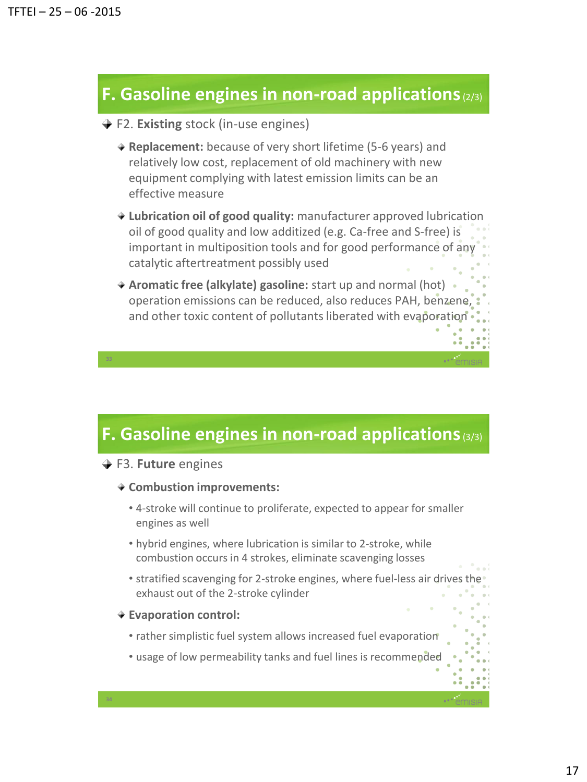### **F. Gasoline engines in non-road applications**(2/3)

- **→ F2. Existing** stock (in-use engines)
	- **Replacement:** because of very short lifetime (5-6 years) and relatively low cost, replacement of old machinery with new equipment complying with latest emission limits can be an effective measure
	- **Lubrication oil of good quality:** manufacturer approved lubrication oil of good quality and low additized (e.g. Ca-free and S-free) is important in multiposition tools and for good performance of any catalytic aftertreatment possibly used
	- **Aromatic free (alkylate) gasoline:** start up and normal (hot) operation emissions can be reduced, also reduces PAH, benzene, and other toxic content of pollutants liberated with evaporation

### **F. Gasoline engines in non-road applications**(3/3)

- **→ F3. Future** engines
	- **Combustion improvements:**
		- 4-stroke will continue to proliferate, expected to appear for smaller engines as well
		- hybrid engines, where lubrication is similar to 2-stroke, while combustion occurs in 4 strokes, eliminate scavenging losses
		- stratified scavenging for 2-stroke engines, where fuel-less air drives the exhaust out of the 2-stroke cylinder
	- **Evaporation control:**

- rather simplistic fuel system allows increased fuel evaporation
- usage of low permeability tanks and fuel lines is recommended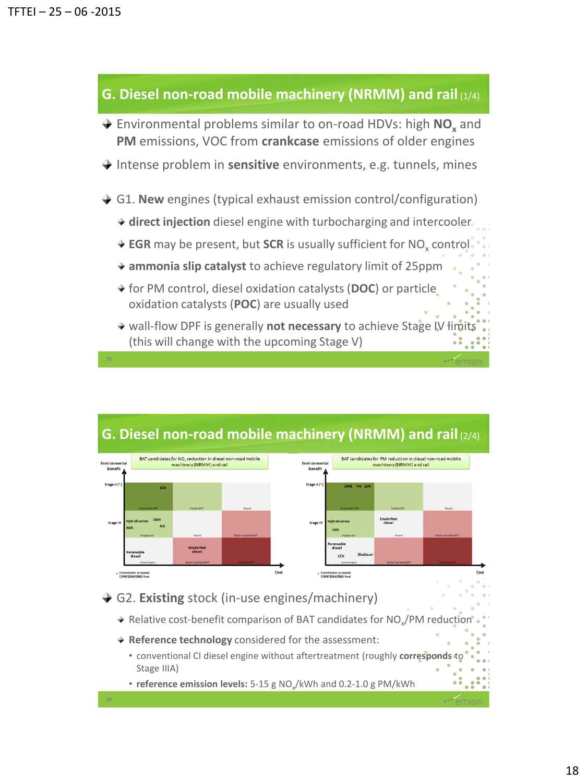### **G. Diesel non-road mobile machinery (NRMM) and rail** (1/4)

- Environmental problems similar to on-road HDVs: high **NO<sup>x</sup>** and **PM** emissions, VOC from **crankcase** emissions of older engines
- **→** Intense problem in **sensitive** environments, e.g. tunnels, mines
- **→ G1. New** engines (typical exhaust emission control/configuration)
	- **direct injection** diesel engine with turbocharging and intercooler
	- **EGR** may be present, but **SCR** is usually sufficient for NO<sub>x</sub> control
	- **ammonia slip catalyst** to achieve regulatory limit of 25ppm
	- for PM control, diesel oxidation catalysts (**DOC**) or particle oxidation catalysts (**POC**) are usually used
	- **★ wall-flow DPF is generally not necessary** to achieve Stage IV limits (this will change with the upcoming Stage V)



### **G. Diesel non-road mobile machinery (NRMM) and rail** (2/4)

### G2. **Existing** stock (in-use engines/machinery)

- Relative cost-benefit comparison of BAT candidates for NO<sub>x</sub>/PM reduction
- **Reference technology** considered for the assessment:
	- conventional CI diesel engine without aftertreatment (roughly corresponds to Stage IIIA)
	- **reference emission levels:** 5-15 g NO<sub>x</sub>/kWh and 0.2-1.0 g PM/kWh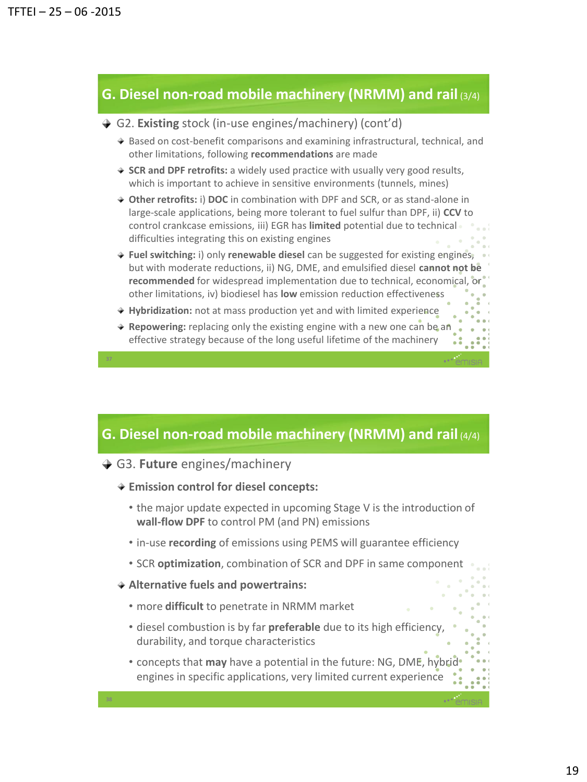### **G. Diesel non-road mobile machinery (NRMM) and rail** (3/4)

#### G2. **Existing** stock (in-use engines/machinery) (cont'd)

- $\triangle$  Based on cost-benefit comparisons and examining infrastructural, technical, and other limitations, following **recommendations** are made
- **SCR and DPF retrofits:** a widely used practice with usually very good results, which is important to achieve in sensitive environments (tunnels, mines)
- **Other retrofits:** i) **DOC** in combination with DPF and SCR, or as stand-alone in large-scale applications, being more tolerant to fuel sulfur than DPF, ii) **CCV** to control crankcase emissions, iii) EGR has **limited** potential due to technical difficulties integrating this on existing engines
- **Fuel switching:** i) only **renewable diesel** can be suggested for existing engines, but with moderate reductions, ii) NG, DME, and emulsified diesel **cannot not be recommended** for widespread implementation due to technical, economical, or other limitations, iv) biodiesel has **low** emission reduction effectiveness
- **Hybridization:** not at mass production yet and with limited experience
- **Repowering:** replacing only the existing engine with a new one can be an effective strategy because of the long useful lifetime of the machinery

### **G. Diesel non-road mobile machinery (NRMM) and rail** (4/4)

- **→ G3. Future** engines/machinery
	- **Emission control for diesel concepts:**
		- the major update expected in upcoming Stage V is the introduction of **wall-flow DPF** to control PM (and PN) emissions
		- in-use **recording** of emissions using PEMS will guarantee efficiency
		- SCR **optimization**, combination of SCR and DPF in same component
	- **Alternative fuels and powertrains:**

- more **difficult** to penetrate in NRMM market
- diesel combustion is by far **preferable** due to its high efficiency, durability, and torque characteristics
- concepts that **may** have a potential in the future: NG, DME, hybrid engines in specific applications, very limited current experience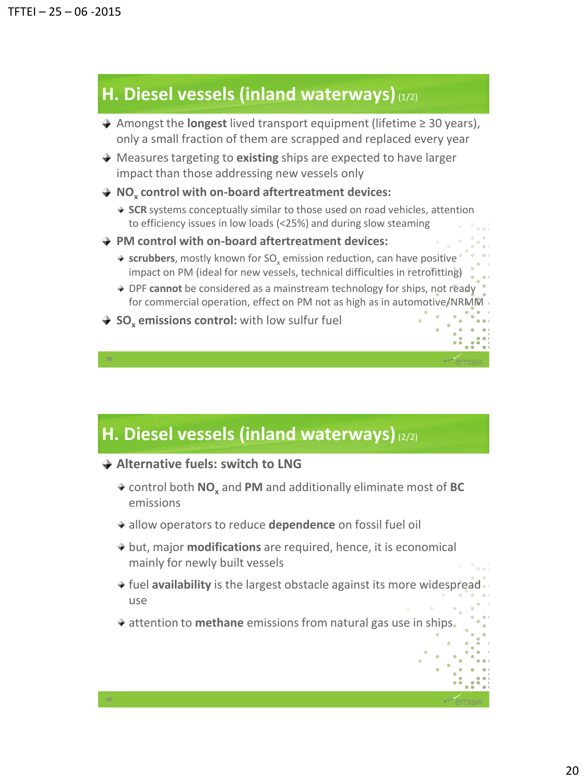### **H. Diesel vessels (inland waterways)**(1/2)

- Amongst the **longest** lived transport equipment (lifetime ≥ 30 years), only a small fraction of them are scrapped and replaced every year
- Measures targeting to **existing** ships are expected to have larger impact than those addressing new vessels only
- **NO<sup>x</sup> control with on-board aftertreatment devices:**
	- **SCR** systems conceptually similar to those used on road vehicles, attention to efficiency issues in low loads (<25%) and during slow steaming
- **PM control with on-board aftertreatment devices:**
	- $\rightarrow$  scrubbers, mostly known for SO<sub>x</sub> emission reduction, can have positive impact on PM (ideal for new vessels, technical difficulties in retrofitting)
	- DPF **cannot** be considered as a mainstream technology for ships, not ready for commercial operation, effect on PM not as high as in automotive/NRMM
- **→ SO<sub>v</sub> emissions control:** with low sulfur fuel

# **H. Diesel vessels (inland waterways)**(2/2)

**Alternative fuels: switch to LNG**

- control both **NO<sup>x</sup>** and **PM** and additionally eliminate most of **BC** emissions
- allow operators to reduce **dependence** on fossil fuel oil
- but, major **modifications** are required, hence, it is economical mainly for newly built vessels
- fuel **availability** is the largest obstacle against its more widespread use
- **★ attention to methane** emissions from natural gas use in ships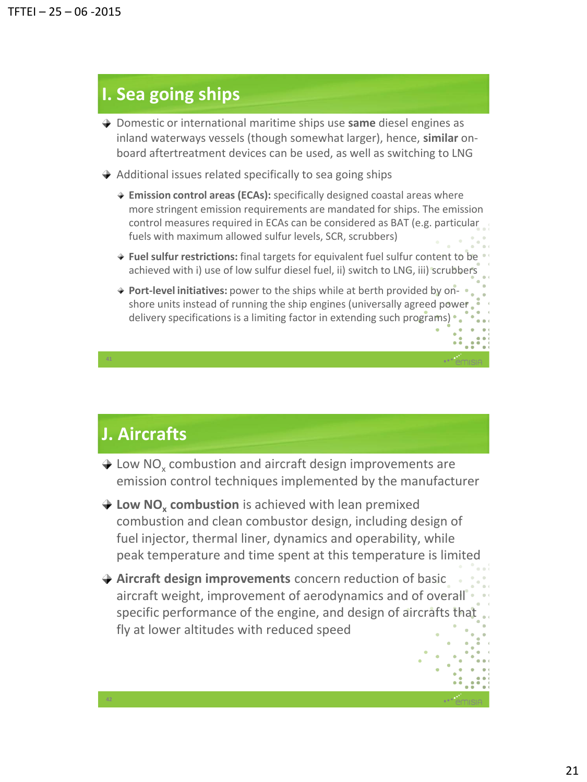## **I. Sea going ships**

- Domestic or international maritime ships use **same** diesel engines as inland waterways vessels (though somewhat larger), hence, **similar** onboard aftertreatment devices can be used, as well as switching to LNG
- $\rightarrow$  Additional issues related specifically to sea going ships
	- **Emission control areas (ECAs):** specifically designed coastal areas where more stringent emission requirements are mandated for ships. The emission control measures required in ECAs can be considered as BAT (e.g. particular fuels with maximum allowed sulfur levels, SCR, scrubbers)
	- **Fuel sulfur restrictions:** final targets for equivalent fuel sulfur content to be achieved with i) use of low sulfur diesel fuel, ii) switch to LNG, iii) scrubbers
	- **Port-level initiatives:** power to the ships while at berth provided by onshore units instead of running the ship engines (universally agreed power delivery specifications is a limiting factor in extending such programs)

### **J. Aircrafts**

**41**

- Low  $NO_x$  combustion and aircraft design improvements are emission control techniques implemented by the manufacturer
- **Low NO<sup>x</sup> combustion** is achieved with lean premixed combustion and clean combustor design, including design of fuel injector, thermal liner, dynamics and operability, while peak temperature and time spent at this temperature is limited
- **Aircraft design improvements** concern reduction of basic aircraft weight, improvement of aerodynamics and of overall specific performance of the engine, and design of aircrafts that fly at lower altitudes with reduced speed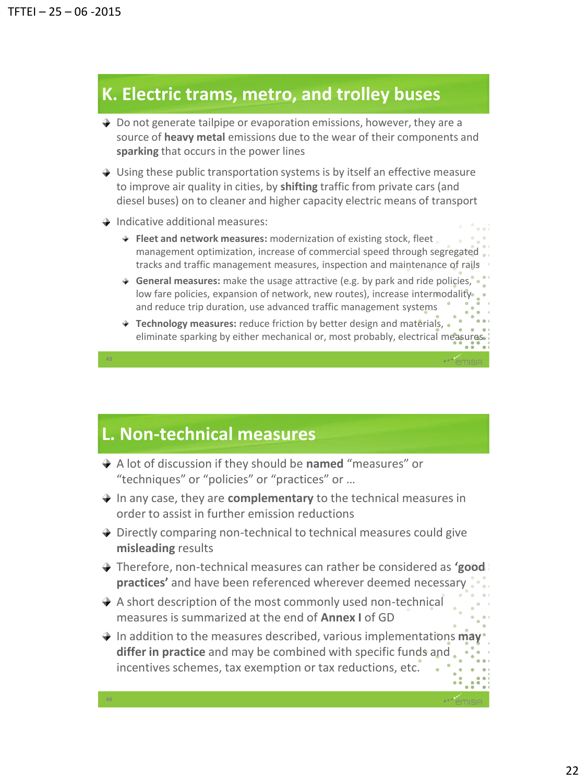### **K. Electric trams, metro, and trolley buses**

- $\rightarrow$  Do not generate tailpipe or evaporation emissions, however, they are a source of **heavy metal** emissions due to the wear of their components and **sparking** that occurs in the power lines
- $\rightarrow$  Using these public transportation systems is by itself an effective measure to improve air quality in cities, by **shifting** traffic from private cars (and diesel buses) on to cleaner and higher capacity electric means of transport
- $\rightarrow$  Indicative additional measures:

**43**

**44**

- **Fleet and network measures:** modernization of existing stock, fleet management optimization, increase of commercial speed through segregated tracks and traffic management measures, inspection and maintenance of rails
- **General measures:** make the usage attractive (e.g. by park and ride policies, low fare policies, expansion of network, new routes), increase intermodality and reduce trip duration, use advanced traffic management systems
- **Technology measures:** reduce friction by better design and materials, eliminate sparking by either mechanical or, most probably, electrical measures

### **L. Non-technical measures**

- A lot of discussion if they should be **named** "measures" or "techniques" or "policies" or "practices" or …
- In any case, they are **complementary** to the technical measures in order to assist in further emission reductions
- ◆ Directly comparing non-technical to technical measures could give **misleading** results
- Therefore, non-technical measures can rather be considered as **'good practices'** and have been referenced wherever deemed necessary
- $\rightarrow$  A short description of the most commonly used non-technical measures is summarized at the end of **Annex I** of GD
- **→** In addition to the measures described, various implementations may **differ in practice** and may be combined with specific funds and incentives schemes, tax exemption or tax reductions, etc.